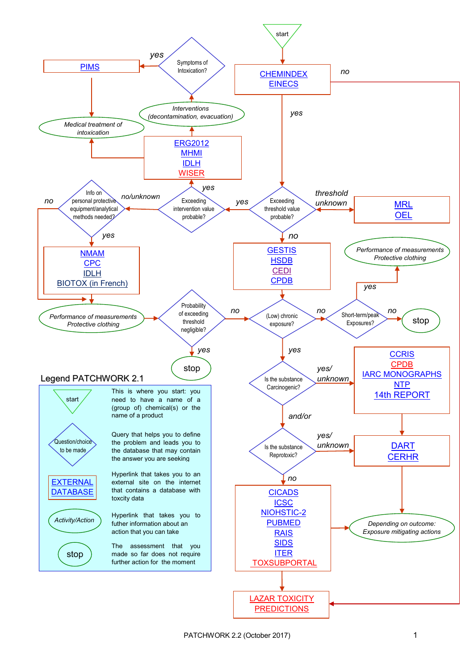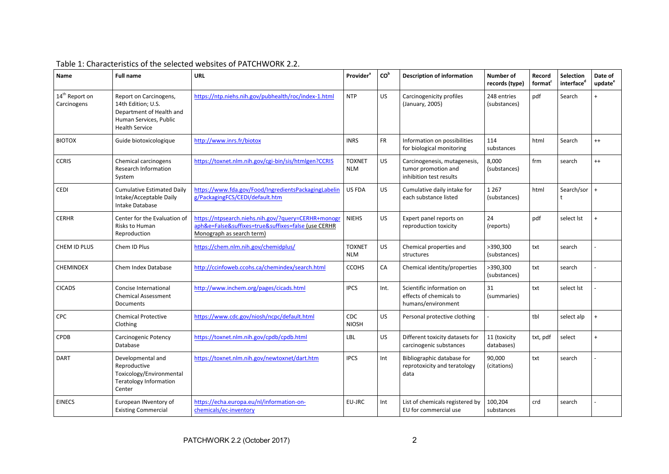| Name                                      | <b>Full name</b>                                                                                                            | <b>URL</b>                                                                                                                              | <b>Provider</b> <sup>a</sup> | CO <sup>b</sup> | <b>Description of information</b>                                              | <b>Number of</b><br>records (type) | Record<br>format <sup>c</sup> | <b>Selection</b><br>interfaced | Date of<br>update <sup>e</sup> |
|-------------------------------------------|-----------------------------------------------------------------------------------------------------------------------------|-----------------------------------------------------------------------------------------------------------------------------------------|------------------------------|-----------------|--------------------------------------------------------------------------------|------------------------------------|-------------------------------|--------------------------------|--------------------------------|
| 14 <sup>th</sup> Report on<br>Carcinogens | Report on Carcinogens,<br>14th Edition; U.S.<br>Department of Health and<br>Human Services, Public<br><b>Health Service</b> | https://ntp.niehs.nih.gov/pubhealth/roc/index-1.html                                                                                    | <b>NTP</b>                   | US.             | Carcinogenicity profiles<br>(January, 2005)                                    | 248 entries<br>(substances)        | pdf                           | Search                         |                                |
| <b>BIOTOX</b>                             | Guide biotoxicologique                                                                                                      | http://www.inrs.fr/biotox                                                                                                               | <b>INRS</b>                  | <b>FR</b>       | Information on possibilities<br>for biological monitoring                      | 114<br>substances                  | html                          | Search                         | $^{++}$                        |
| <b>CCRIS</b>                              | Chemical carcinogens<br>Research Information<br>System                                                                      | https://toxnet.nlm.nih.gov/cgi-bin/sis/htmlgen?CCRIS                                                                                    | <b>TOXNET</b><br><b>NLM</b>  | US.             | Carcinogenesis, mutagenesis,<br>tumor promotion and<br>inhibition test results | 8,000<br>(substances)              | frm                           | search                         | $^{++}$                        |
| <b>CEDI</b>                               | <b>Cumulative Estimated Daily</b><br>Intake/Acceptable Daily<br>Intake Database                                             | https://www.fda.gov/Food/IngredientsPackagingLabelin<br>g/PackagingFCS/CEDI/default.htm                                                 | US FDA                       | US.             | Cumulative daily intake for<br>each substance listed                           | 1 2 6 7<br>(substances)            | html                          | Search/sor                     | $\overline{1}$                 |
| <b>CERHR</b>                              | Center for the Evaluation of<br>Risks to Human<br>Reproduction                                                              | https://ntpsearch.niehs.nih.gov/?query=CERHR+monogr<br>aph&e=False&suffixes=true&suffixes=false (use CERHR<br>Monograph as search term) | <b>NIEHS</b>                 | US.             | Expert panel reports on<br>reproduction toxicity                               | 24<br>(reports)                    | pdf                           | select lst                     | $\overline{1}$                 |
| CHEM ID PLUS                              | Chem ID Plus                                                                                                                | https://chem.nlm.nih.gov/chemidplus/                                                                                                    | <b>TOXNET</b><br><b>NLM</b>  | US              | Chemical properties and<br>structures                                          | >390,300<br>(substances)           | txt                           | search                         |                                |
| <b>CHEMINDEX</b>                          | Chem Index Database                                                                                                         | http://ccinfoweb.ccohs.ca/chemindex/search.html                                                                                         | <b>CCOHS</b>                 | CA              | Chemical identity/properties                                                   | >390,300<br>(substances)           | txt                           | search                         |                                |
| <b>CICADS</b>                             | Concise International<br><b>Chemical Assessment</b><br><b>Documents</b>                                                     | http://www.inchem.org/pages/cicads.html                                                                                                 | <b>IPCS</b>                  | Int.            | Scientific information on<br>effects of chemicals to<br>humans/environment     | 31<br>(summaries)                  | txt                           | select Ist                     |                                |
| <b>CPC</b>                                | <b>Chemical Protective</b><br>Clothing                                                                                      | https://www.cdc.gov/niosh/ncpc/default.html                                                                                             | <b>CDC</b><br><b>NIOSH</b>   | US.             | Personal protective clothing                                                   |                                    | tbl                           | select alp                     | $\overline{1}$                 |
| <b>CPDB</b>                               | <b>Carcinogenic Potency</b><br>Database                                                                                     | https://toxnet.nlm.nih.gov/cpdb/cpdb.html                                                                                               | LBL                          | US.             | Different toxicity datasets for<br>carcinogenic substances                     | 11 (toxicity<br>databases)         | txt, pdf                      | select                         | $\overline{1}$                 |
| <b>DART</b>                               | Developmental and<br>Reproductive<br>Toxicology/Environmental<br><b>Teratology Information</b><br>Center                    | https://toxnet.nlm.nih.gov/newtoxnet/dart.htm                                                                                           | <b>IPCS</b>                  | Int             | Bibliographic database for<br>reprotoxicity and teratology<br>data             | 90,000<br>(citations)              | txt                           | search                         |                                |
| <b>EINECS</b>                             | European INventory of<br><b>Existing Commercial</b>                                                                         | https://echa.europa.eu/nl/information-on-<br>chemicals/ec-inventory                                                                     | EU-JRC                       | Int             | List of chemicals registered by<br>EU for commercial use                       | 100,204<br>substances              | crd                           | search                         |                                |

## Table 1: Characteristics of the selected websites of PATCHWORK 2.2.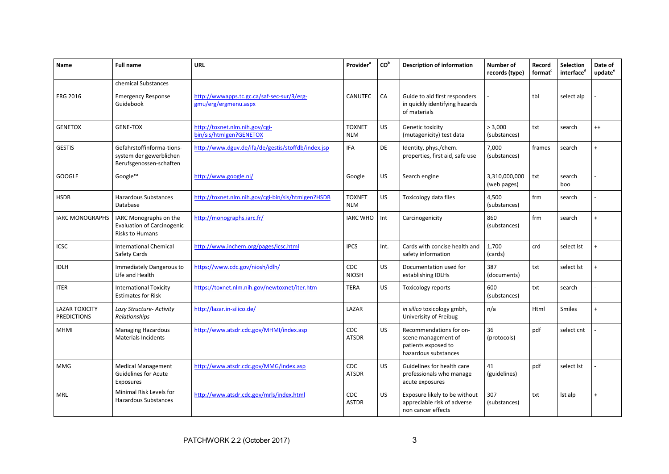| Name                                        | <b>Full name</b>                                                                      | <b>URL</b>                                                         | Provider <sup>a</sup>       | CO <sup>b</sup> | <b>Description of information</b>                                                             | Number of<br>records (type)  | Record<br>format <sup>c</sup> | <b>Selection</b><br>interfaced | Date of<br>update <sup>e</sup> |
|---------------------------------------------|---------------------------------------------------------------------------------------|--------------------------------------------------------------------|-----------------------------|-----------------|-----------------------------------------------------------------------------------------------|------------------------------|-------------------------------|--------------------------------|--------------------------------|
|                                             | chemical Substances                                                                   |                                                                    |                             |                 |                                                                                               |                              |                               |                                |                                |
| <b>ERG 2016</b>                             | <b>Emergency Response</b><br>Guidebook                                                | http://wwwapps.tc.gc.ca/saf-sec-sur/3/erg-<br>gmu/erg/ergmenu.aspx | <b>CANUTEC</b>              | CA              | Guide to aid first responders<br>in quickly identifying hazards<br>of materials               |                              | tbl                           | select alp                     |                                |
| <b>GENETOX</b>                              | <b>GENE-TOX</b>                                                                       | http://toxnet.nlm.nih.gov/cgi-<br>bin/sis/htmlgen?GENETOX          | <b>TOXNET</b><br><b>NLM</b> | US.             | Genetic toxicity<br>(mutagenicity) test data                                                  | > 3,000<br>(substances)      | txt                           | search                         | $^{++}$                        |
| <b>GESTIS</b>                               | Gefahrstoffinforma-tions-<br>system der gewerblichen<br>Berufsgenossen-schaften       | http://www.dguv.de/ifa/de/gestis/stoffdb/index.jsp                 | IFA                         | DE              | Identity, phys./chem.<br>properties, first aid, safe use                                      | 7,000<br>(substances)        | frames                        | search                         | $\ddot{}$                      |
| <b>GOOGLE</b>                               | Google™                                                                               | http://www.google.nl/                                              | Google                      | US.             | Search engine                                                                                 | 3,310,000,000<br>(web pages) | txt                           | search<br>boo                  |                                |
| <b>HSDB</b>                                 | <b>Hazardous Substances</b><br>Database                                               | http://toxnet.nlm.nih.gov/cgi-bin/sis/htmlgen?HSDB                 | <b>TOXNET</b><br><b>NLM</b> | <b>US</b>       | Toxicology data files                                                                         | 4,500<br>(substances)        | frm                           | search                         |                                |
| <b>IARC MONOGRAPHS</b>                      | IARC Monographs on the<br><b>Evaluation of Carcinogenic</b><br><b>Risks to Humans</b> | http://monographs.iarc.fr/                                         | <b>IARC WHO</b>             | Int             | Carcinogenicity                                                                               | 860<br>(substances)          | frm                           | search                         | $\ddot{}$                      |
| <b>ICSC</b>                                 | <b>International Chemical</b><br>Safety Cards                                         | http://www.inchem.org/pages/icsc.html                              | <b>IPCS</b>                 | Int.            | Cards with concise health and<br>safety information                                           | 1,700<br>(cards)             | crd                           | select lst                     | $\ddot{}$                      |
| <b>IDLH</b>                                 | Immediately Dangerous to<br>Life and Health                                           | https://www.cdc.gov/niosh/idlh/                                    | <b>CDC</b><br><b>NIOSH</b>  | <b>US</b>       | Documentation used for<br>establishing IDLHs                                                  | 387<br>(documents)           | txt                           | select lst                     | $\ddot{}$                      |
| <b>ITER</b>                                 | <b>International Toxicity</b><br><b>Estimates for Risk</b>                            | https://toxnet.nlm.nih.gov/newtoxnet/iter.htm                      | <b>TERA</b>                 | US.             | <b>Toxicology reports</b>                                                                     | 600<br>(substances)          | txt                           | search                         |                                |
| <b>LAZAR TOXICITY</b><br><b>PREDICTIONS</b> | Lazy Structure- Activity<br>Relationships                                             | http://lazar.in-silico.de/                                         | LAZAR                       |                 | in silico toxicology gmbh,<br>Univerisity of Freibug                                          | n/a                          | Html                          | <b>Smiles</b>                  | $\ddot{+}$                     |
| <b>MHMI</b>                                 | <b>Managing Hazardous</b><br><b>Materials Incidents</b>                               | http://www.atsdr.cdc.gov/MHMI/index.asp                            | CDC<br><b>ATSDR</b>         | US.             | Recommendations for on-<br>scene management of<br>patients exposed to<br>hazardous substances | 36<br>(protocols)            | pdf                           | select cnt                     |                                |
| <b>MMG</b>                                  | <b>Medical Management</b><br><b>Guidelines for Acute</b><br>Exposures                 | http://www.atsdr.cdc.gov/MMG/index.asp                             | <b>CDC</b><br><b>ATSDR</b>  | US.             | Guidelines for health care<br>professionals who manage<br>acute exposures                     | 41<br>(guidelines)           | pdf                           | select Ist                     |                                |
| <b>MRL</b>                                  | Minimal Risk Levels for<br><b>Hazardous Substances</b>                                | http://www.atsdr.cdc.gov/mrls/index.html                           | CDC.<br><b>ASTDR</b>        | US.             | Exposure likely to be without<br>appreciable risk of adverse<br>non cancer effects            | 307<br>(substances)          | txt                           | Ist alp                        | $\ddot{}$                      |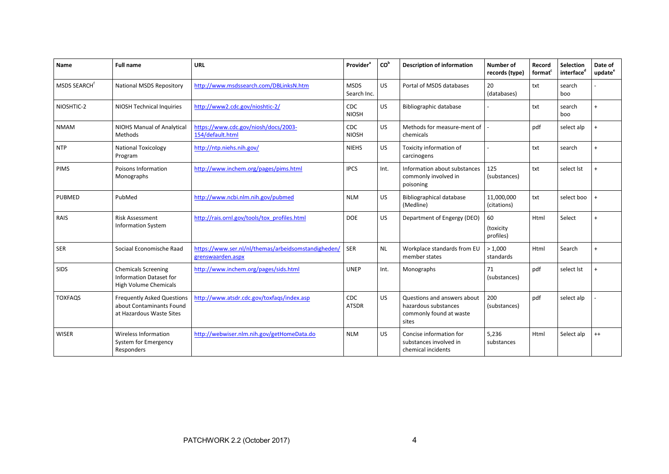| Name                     | <b>Full name</b>                                                                          | <b>URL</b>                                                               | Provider <sup>a</sup>      | CO <sup>b</sup> | <b>Description of information</b>                                                       | <b>Number of</b><br>records (type) | Record<br>format <sup>c</sup> | Selection<br>interface <sup>d</sup> | Date of<br>update <sup>e</sup> |
|--------------------------|-------------------------------------------------------------------------------------------|--------------------------------------------------------------------------|----------------------------|-----------------|-----------------------------------------------------------------------------------------|------------------------------------|-------------------------------|-------------------------------------|--------------------------------|
| MSDS SEARCH <sup>f</sup> | <b>National MSDS Repository</b>                                                           | http://www.msdssearch.com/DBLinksN.htm                                   | <b>MSDS</b><br>Search Inc. | US.             | Portal of MSDS databases                                                                | 20<br>(databases)                  | txt                           | search<br>boo                       |                                |
| NIOSHTIC-2               | <b>NIOSH Technical Inquiries</b>                                                          | http://www2.cdc.gov/nioshtic-2/                                          | <b>CDC</b><br><b>NIOSH</b> | US.             | <b>Bibliographic database</b>                                                           |                                    | txt                           | search<br>boo                       |                                |
| <b>NMAM</b>              | NIOHS Manual of Analytical<br>Methods                                                     | https://www.cdc.gov/niosh/docs/2003-<br>154/default.html                 | <b>CDC</b><br><b>NIOSH</b> | US.             | Methods for measure-ment of<br>chemicals                                                |                                    | pdf                           | select alp                          | $\ddot{}$                      |
| <b>NTP</b>               | <b>National Toxicology</b><br>Program                                                     | http://ntp.niehs.nih.gov/                                                | <b>NIEHS</b>               | US.             | Toxicity information of<br>carcinogens                                                  |                                    | txt                           | search                              | $\ddot{}$                      |
| <b>PIMS</b>              | Poisons Information<br>Monographs                                                         | http://www.inchem.org/pages/pims.html                                    | <b>IPCS</b>                | Int.            | Information about substances<br>commonly involved in<br>poisoning                       | 125<br>(substances)                | txt                           | select lst                          | $\ddot{}$                      |
| <b>PUBMED</b>            | PubMed                                                                                    | http://www.ncbi.nlm.nih.gov/pubmed                                       | <b>NLM</b>                 | US              | Bibliographical database<br>(Medline)                                                   | 11,000,000<br>(citations)          | txt                           | select boo                          | $\ddot{}$                      |
| RAIS                     | <b>Risk Assessment</b><br><b>Information System</b>                                       | http://rais.ornl.gov/tools/tox_profiles.html                             | <b>DOE</b>                 | US.             | Department of Engergy (DEO)                                                             | 60<br>(toxicity<br>profiles)       | Html                          | Select                              | $\ddot{}$                      |
| <b>SER</b>               | Sociaal Economische Raad                                                                  | https://www.ser.nl/nl/themas/arbeidsomstandigheden/<br>grenswaarden.aspx | <b>SER</b>                 | <b>NL</b>       | Workplace standards from EU<br>member states                                            | >1,000<br>standards                | Html                          | Search                              | $\ddot{}$                      |
| <b>SIDS</b>              | <b>Chemicals Screening</b><br><b>Information Dataset for</b><br>High Volume Chemicals     | http://www.inchem.org/pages/sids.html                                    | <b>UNEP</b>                | Int.            | Monographs                                                                              | 71<br>(substances)                 | pdf                           | select lst                          | $\ddot{}$                      |
| <b>TOXFAQS</b>           | <b>Frequently Asked Questions</b><br>about Contaminants Found<br>at Hazardous Waste Sites | http://www.atsdr.cdc.gov/toxfags/index.asp                               | CDC<br><b>ATSDR</b>        | <b>US</b>       | Questions and answers about<br>hazardous substances<br>commonly found at waste<br>sites | 200<br>(substances)                | pdf                           | select alp                          |                                |
| <b>WISER</b>             | <b>Wireless Information</b><br>System for Emergency<br>Responders                         | http://webwiser.nlm.nih.gov/getHomeData.do                               | <b>NLM</b>                 | US.             | Concise information for<br>substances involved in<br>chemical incidents                 | 5,236<br>substances                | Html                          | Select alp                          | $^{++}$                        |